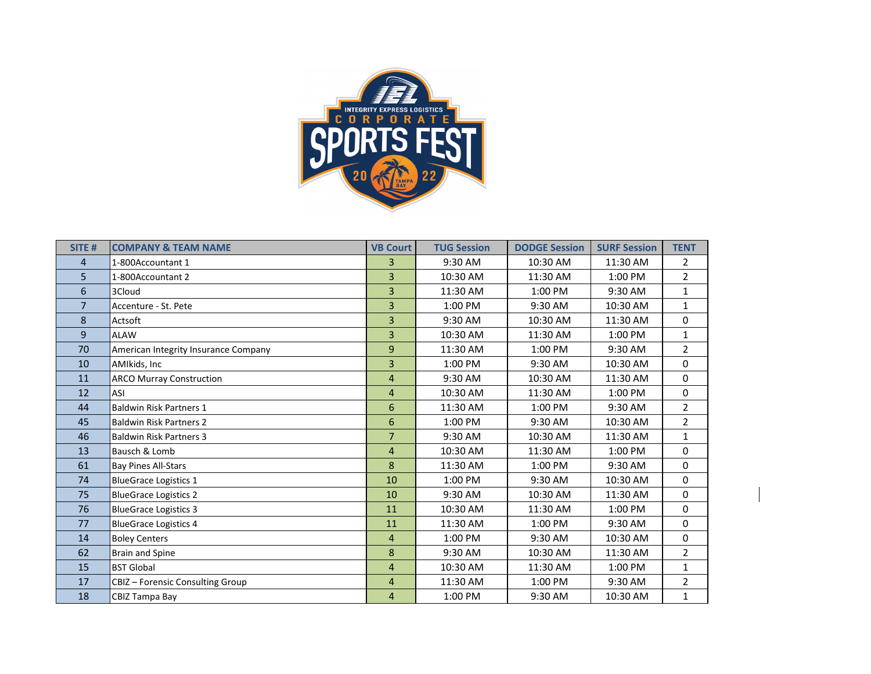

| SITE #         | <b>COMPANY &amp; TEAM NAME</b>       | <b>VB Court</b> | <b>TUG Session</b> | <b>DODGE Session</b> | <b>SURF Session</b> | <b>TENT</b>    |
|----------------|--------------------------------------|-----------------|--------------------|----------------------|---------------------|----------------|
| $\overline{4}$ | 1-800Accountant 1                    | 3               | 9:30 AM            | 10:30 AM             | 11:30 AM            | $\overline{2}$ |
| 5              | 1-800Accountant 2                    | $\overline{3}$  | 10:30 AM           | 11:30 AM             | 1:00 PM             | $\overline{2}$ |
| 6              | 3Cloud                               | 3               | 11:30 AM           | 1:00 PM              | 9:30 AM             | $\mathbf{1}$   |
| $\overline{7}$ | Accenture - St. Pete                 | 3               | 1:00 PM            | 9:30 AM              | 10:30 AM            | $\mathbf{1}$   |
| 8              | Actsoft                              | 3               | 9:30 AM            | 10:30 AM             | 11:30 AM            | $\mathbf{0}$   |
| 9              | <b>ALAW</b>                          | 3               | 10:30 AM           | 11:30 AM             | 1:00 PM             | $\mathbf{1}$   |
| 70             | American Integrity Insurance Company | 9               | 11:30 AM           | 1:00 PM              | 9:30 AM             | $\overline{2}$ |
| 10             | AMIkids, Inc                         | 3               | 1:00 PM            | 9:30 AM              | 10:30 AM            | $\mathbf{0}$   |
| 11             | <b>ARCO Murray Construction</b>      | 4               | 9:30 AM            | 10:30 AM             | 11:30 AM            | $\mathbf 0$    |
| 12             | ASI                                  | $\overline{4}$  | 10:30 AM           | 11:30 AM             | 1:00 PM             | 0              |
| 44             | <b>Baldwin Risk Partners 1</b>       | 6               | 11:30 AM           | 1:00 PM              | 9:30 AM             | $\overline{2}$ |
| 45             | <b>Baldwin Risk Partners 2</b>       | 6               | 1:00 PM            | 9:30 AM              | 10:30 AM            | $\overline{2}$ |
| 46             | <b>Baldwin Risk Partners 3</b>       | $\overline{7}$  | 9:30 AM            | 10:30 AM             | 11:30 AM            | $\mathbf{1}$   |
| 13             | Bausch & Lomb                        | 4               | 10:30 AM           | 11:30 AM             | 1:00 PM             | $\mathbf 0$    |
| 61             | <b>Bay Pines All-Stars</b>           | 8               | 11:30 AM           | 1:00 PM              | 9:30 AM             | $\mathbf{0}$   |
| 74             | <b>BlueGrace Logistics 1</b>         | 10              | 1:00 PM            | 9:30 AM              | 10:30 AM            | $\mathbf{0}$   |
| 75             | <b>BlueGrace Logistics 2</b>         | 10              | 9:30 AM            | 10:30 AM             | 11:30 AM            | 0              |
| 76             | <b>BlueGrace Logistics 3</b>         | 11              | 10:30 AM           | 11:30 AM             | 1:00 PM             | $\mathbf{0}$   |
| 77             | <b>BlueGrace Logistics 4</b>         | 11              | 11:30 AM           | 1:00 PM              | 9:30 AM             | $\mathbf{0}$   |
| 14             | <b>Boley Centers</b>                 | 4               | 1:00 PM            | 9:30 AM              | 10:30 AM            | $\mathbf{0}$   |
| 62             | <b>Brain and Spine</b>               | 8               | 9:30 AM            | 10:30 AM             | 11:30 AM            | $\overline{2}$ |
| 15             | <b>BST Global</b>                    | 4               | 10:30 AM           | 11:30 AM             | 1:00 PM             | $\mathbf{1}$   |
| 17             | CBIZ - Forensic Consulting Group     | 4               | 11:30 AM           | 1:00 PM              | 9:30 AM             | $\overline{2}$ |
| 18             | CBIZ Tampa Bay                       | 4               | 1:00 PM            | 9:30 AM              | 10:30 AM            | 1              |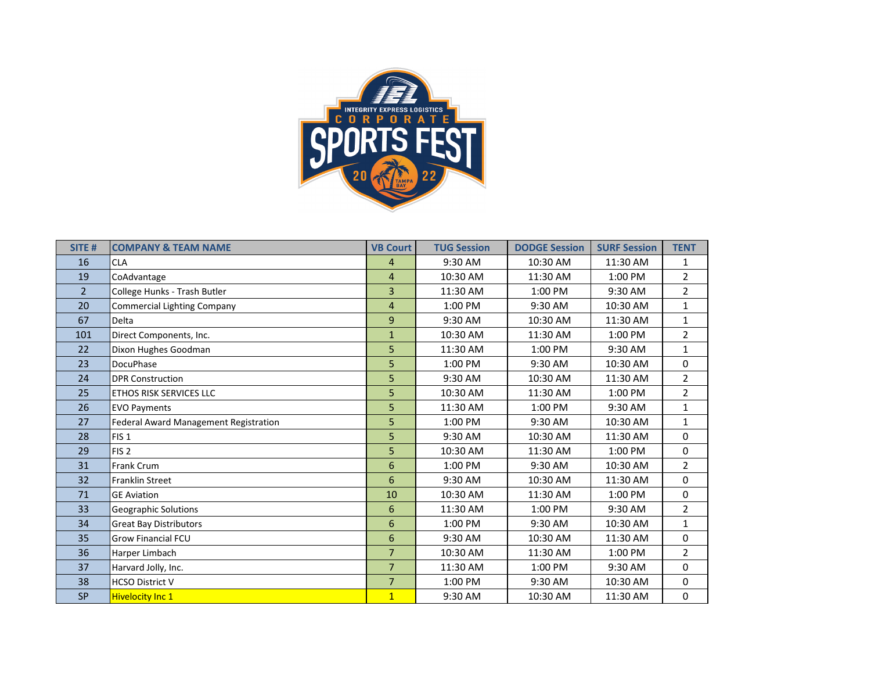

| SITE#          | <b>COMPANY &amp; TEAM NAME</b>        | <b>VB Court</b> | <b>TUG Session</b> | <b>DODGE Session</b> | <b>SURF Session</b> | <b>TENT</b>    |
|----------------|---------------------------------------|-----------------|--------------------|----------------------|---------------------|----------------|
| 16             | <b>CLA</b>                            | 4               | 9:30 AM            | 10:30 AM             | 11:30 AM            | 1              |
| 19             | CoAdvantage                           | 4               | 10:30 AM           | 11:30 AM             | 1:00 PM             | $\overline{2}$ |
| $\overline{2}$ | College Hunks - Trash Butler          | 3               | 11:30 AM           | 1:00 PM              | 9:30 AM             | $\overline{2}$ |
| 20             | <b>Commercial Lighting Company</b>    | 4               | $1:00$ PM          | 9:30 AM              | 10:30 AM            | $\mathbf{1}$   |
| 67             | Delta                                 | 9               | 9:30 AM            | 10:30 AM             | 11:30 AM            | $\mathbf{1}$   |
| 101            | Direct Components, Inc.               | $\mathbf{1}$    | 10:30 AM           | 11:30 AM             | 1:00 PM             | $\overline{2}$ |
| 22             | Dixon Hughes Goodman                  | 5               | 11:30 AM           | 1:00 PM              | 9:30 AM             | $\mathbf{1}$   |
| 23             | <b>DocuPhase</b>                      | 5               | 1:00 PM            | 9:30 AM              | 10:30 AM            | 0              |
| 24             | <b>DPR Construction</b>               | 5               | 9:30 AM            | 10:30 AM             | 11:30 AM            | $\overline{2}$ |
| 25             | <b>ETHOS RISK SERVICES LLC</b>        | 5               | 10:30 AM           | 11:30 AM             | 1:00 PM             | $\overline{2}$ |
| 26             | <b>EVO Payments</b>                   | 5               | 11:30 AM           | 1:00 PM              | 9:30 AM             | $\mathbf{1}$   |
| 27             | Federal Award Management Registration | 5               | 1:00 PM            | 9:30 AM              | 10:30 AM            | $\mathbf{1}$   |
| 28             | FIS <sub>1</sub>                      | 5               | 9:30 AM            | 10:30 AM             | 11:30 AM            | 0              |
| 29             | FIS <sub>2</sub>                      | 5               | 10:30 AM           | 11:30 AM             | 1:00 PM             | 0              |
| 31             | Frank Crum                            | 6               | 1:00 PM            | 9:30 AM              | 10:30 AM            | $\overline{2}$ |
| 32             | Franklin Street                       | 6               | 9:30 AM            | 10:30 AM             | 11:30 AM            | 0              |
| 71             | <b>GE Aviation</b>                    | 10              | 10:30 AM           | 11:30 AM             | 1:00 PM             | 0              |
| 33             | <b>Geographic Solutions</b>           | 6               | 11:30 AM           | 1:00 PM              | 9:30 AM             | $\overline{2}$ |
| 34             | <b>Great Bay Distributors</b>         | 6               | $1:00$ PM          | 9:30 AM              | 10:30 AM            | $\mathbf{1}$   |
| 35             | <b>Grow Financial FCU</b>             | 6               | 9:30 AM            | 10:30 AM             | 11:30 AM            | 0              |
| 36             | Harper Limbach                        | $\overline{7}$  | 10:30 AM           | 11:30 AM             | 1:00 PM             | $\overline{2}$ |
| 37             | Harvard Jolly, Inc.                   | $\overline{7}$  | 11:30 AM           | 1:00 PM              | 9:30 AM             | 0              |
| 38             | <b>HCSO District V</b>                | $\overline{7}$  | 1:00 PM            | 9:30 AM              | 10:30 AM            | 0              |
| <b>SP</b>      | <b>Hivelocity Inc 1</b>               | $\overline{1}$  | 9:30 AM            | 10:30 AM             | 11:30 AM            | 0              |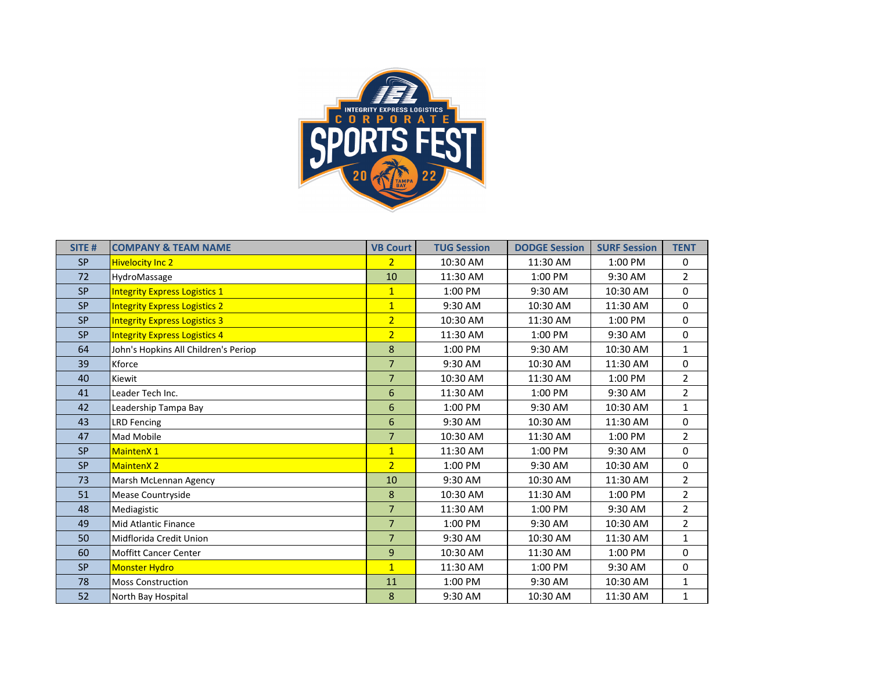

| SITE #    | <b>COMPANY &amp; TEAM NAME</b>       | <b>VB Court</b> | <b>TUG Session</b> | <b>DODGE Session</b> | <b>SURF Session</b> | <b>TENT</b>    |
|-----------|--------------------------------------|-----------------|--------------------|----------------------|---------------------|----------------|
| <b>SP</b> | <b>Hivelocity Inc 2</b>              | $\overline{2}$  | 10:30 AM           | 11:30 AM             | 1:00 PM             | 0              |
| 72        | HydroMassage                         | 10              | 11:30 AM           | 1:00 PM              | 9:30 AM             | $\overline{2}$ |
| <b>SP</b> | <b>Integrity Express Logistics 1</b> | $\mathbf{1}$    | 1:00 PM            | 9:30 AM              | 10:30 AM            | 0              |
| <b>SP</b> | <b>Integrity Express Logistics 2</b> | $\overline{1}$  | 9:30 AM            | 10:30 AM             | 11:30 AM            | 0              |
| <b>SP</b> | <b>Integrity Express Logistics 3</b> | $\overline{2}$  | 10:30 AM           | 11:30 AM             | 1:00 PM             | 0              |
| <b>SP</b> | <b>Integrity Express Logistics 4</b> | $\overline{2}$  | 11:30 AM           | 1:00 PM              | 9:30 AM             | 0              |
| 64        | John's Hopkins All Children's Periop | 8               | 1:00 PM            | 9:30 AM              | 10:30 AM            | 1              |
| 39        | Kforce                               | $\overline{7}$  | 9:30 AM            | 10:30 AM             | 11:30 AM            | $\mathbf{0}$   |
| 40        | Kiewit                               | $\overline{7}$  | 10:30 AM           | 11:30 AM             | 1:00 PM             | $\overline{2}$ |
| 41        | Leader Tech Inc.                     | 6               | 11:30 AM           | 1:00 PM              | 9:30 AM             | $\overline{2}$ |
| 42        | Leadership Tampa Bay                 | 6               | 1:00 PM            | 9:30 AM              | 10:30 AM            | $\mathbf{1}$   |
| 43        | <b>LRD Fencing</b>                   | 6               | 9:30 AM            | 10:30 AM             | 11:30 AM            | 0              |
| 47        | <b>Mad Mobile</b>                    | $\overline{7}$  | 10:30 AM           | 11:30 AM             | 1:00 PM             | $\overline{2}$ |
| <b>SP</b> | <b>MaintenX1</b>                     | $\overline{1}$  | 11:30 AM           | 1:00 PM              | 9:30 AM             | 0              |
| <b>SP</b> | <b>MaintenX2</b>                     | $\overline{2}$  | 1:00 PM            | 9:30 AM              | 10:30 AM            | 0              |
| 73        | Marsh McLennan Agency                | 10              | 9:30 AM            | 10:30 AM             | 11:30 AM            | $\overline{2}$ |
| 51        | Mease Countryside                    | 8               | 10:30 AM           | 11:30 AM             | 1:00 PM             | $\overline{2}$ |
| 48        | Mediagistic                          | $\overline{7}$  | 11:30 AM           | 1:00 PM              | 9:30 AM             | $\overline{2}$ |
| 49        | <b>Mid Atlantic Finance</b>          | $\overline{7}$  | 1:00 PM            | 9:30 AM              | 10:30 AM            | $\overline{2}$ |
| 50        | Midflorida Credit Union              | $\overline{7}$  | 9:30 AM            | 10:30 AM             | 11:30 AM            | $\mathbf{1}$   |
| 60        | <b>Moffitt Cancer Center</b>         | 9               | 10:30 AM           | 11:30 AM             | 1:00 PM             | 0              |
| <b>SP</b> | <b>Monster Hydro</b>                 | $\mathbf{1}$    | 11:30 AM           | 1:00 PM              | 9:30 AM             | 0              |
| 78        | <b>Moss Construction</b>             | 11              | 1:00 PM            | 9:30 AM              | 10:30 AM            | $\mathbf{1}$   |
| 52        | North Bay Hospital                   | 8               | 9:30 AM            | 10:30 AM             | 11:30 AM            | 1              |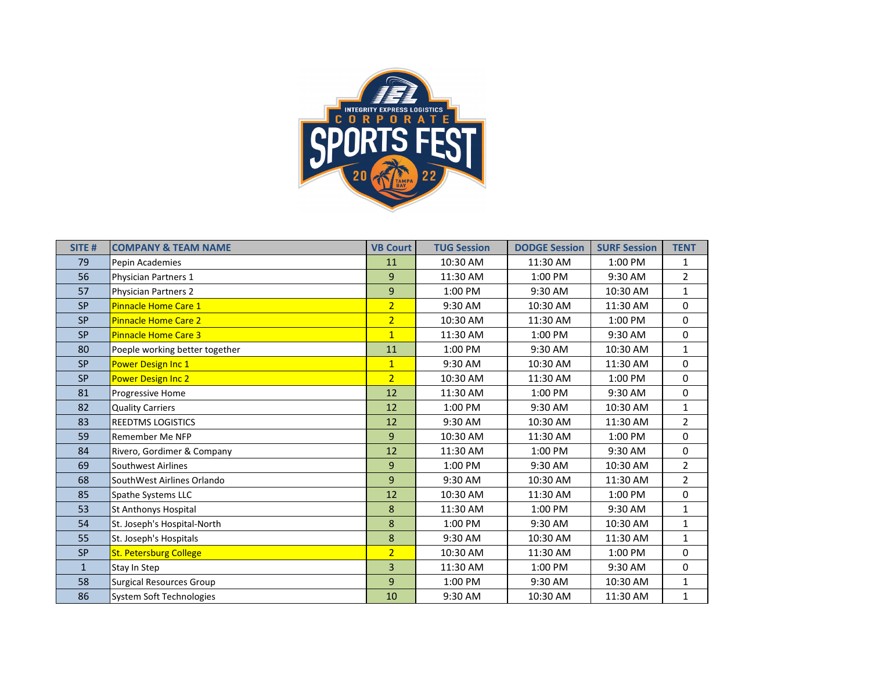

| SITE <sub>#</sub> | <b>COMPANY &amp; TEAM NAME</b>  | <b>VB Court</b> | <b>TUG Session</b> | <b>DODGE Session</b> | <b>SURF Session</b> | <b>TENT</b>    |
|-------------------|---------------------------------|-----------------|--------------------|----------------------|---------------------|----------------|
| 79                | Pepin Academies                 | 11              | 10:30 AM           | 11:30 AM             | 1:00 PM             | 1              |
| 56                | Physician Partners 1            | 9               | 11:30 AM           | 1:00 PM              | 9:30 AM             | $\overline{a}$ |
| 57                | Physician Partners 2            | 9               | 1:00 PM            | 9:30 AM              | 10:30 AM            | 1              |
| <b>SP</b>         | Pinnacle Home Care 1            | $\overline{2}$  | 9:30 AM            | 10:30 AM             | 11:30 AM            | 0              |
| <b>SP</b>         | <b>Pinnacle Home Care 2</b>     | $\overline{2}$  | 10:30 AM           | 11:30 AM             | 1:00 PM             | 0              |
| <b>SP</b>         | <b>Pinnacle Home Care 3</b>     | $\overline{1}$  | 11:30 AM           | 1:00 PM              | 9:30 AM             | 0              |
| 80                | Poeple working better together  | 11              | 1:00 PM            | 9:30 AM              | 10:30 AM            | $\mathbf{1}$   |
| <b>SP</b>         | Power Design Inc 1              | $\overline{1}$  | 9:30 AM            | 10:30 AM             | 11:30 AM            | 0              |
| <b>SP</b>         | Power Design Inc 2              | $\overline{2}$  | 10:30 AM           | 11:30 AM             | 1:00 PM             | 0              |
| 81                | Progressive Home                | 12              | 11:30 AM           | 1:00 PM              | 9:30 AM             | 0              |
| 82                | <b>Quality Carriers</b>         | 12              | 1:00 PM            | 9:30 AM              | 10:30 AM            | $\mathbf{1}$   |
| 83                | <b>REEDTMS LOGISTICS</b>        | 12              | 9:30 AM            | 10:30 AM             | 11:30 AM            | $\overline{2}$ |
| 59                | Remember Me NFP                 | 9               | 10:30 AM           | 11:30 AM             | 1:00 PM             | 0              |
| 84                | Rivero, Gordimer & Company      | 12              | 11:30 AM           | 1:00 PM              | 9:30 AM             | 0              |
| 69                | Southwest Airlines              | 9               | 1:00 PM            | 9:30 AM              | 10:30 AM            | $\overline{2}$ |
| 68                | SouthWest Airlines Orlando      | 9               | 9:30 AM            | 10:30 AM             | 11:30 AM            | $\overline{2}$ |
| 85                | <b>Spathe Systems LLC</b>       | 12              | 10:30 AM           | 11:30 AM             | 1:00 PM             | 0              |
| 53                | St Anthonys Hospital            | 8               | 11:30 AM           | 1:00 PM              | 9:30 AM             | $\mathbf{1}$   |
| 54                | St. Joseph's Hospital-North     | 8               | 1:00 PM            | 9:30 AM              | 10:30 AM            | $\mathbf{1}$   |
| 55                | St. Joseph's Hospitals          | 8               | 9:30 AM            | 10:30 AM             | 11:30 AM            | $\mathbf{1}$   |
| <b>SP</b>         | <b>St. Petersburg College</b>   | $\overline{2}$  | 10:30 AM           | 11:30 AM             | 1:00 PM             | 0              |
| $\mathbf{1}$      | Stay In Step                    | 3               | 11:30 AM           | 1:00 PM              | 9:30 AM             | 0              |
| 58                | <b>Surgical Resources Group</b> | 9               | 1:00 PM            | 9:30 AM              | 10:30 AM            | $\mathbf{1}$   |
| 86                | System Soft Technologies        | 10              | 9:30 AM            | 10:30 AM             | 11:30 AM            | 1              |